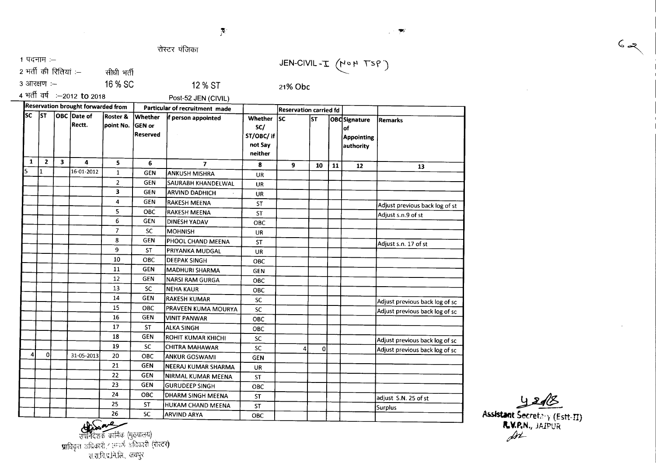"1.: *s*

 $\bullet$ 

रोस्टर पंजिका

 $1~$ पदनाम $~:-$ 

 $2$  भर्ती की रितियां :– सीधी भर्ती

 $3 \text{ 3}$  3 आरक्षण :- 16 % SC

21% Obc

JEN-CIVIL - $I$  (NOP TSP)

4 भर्ती वर्ष :--2012 **to** 2018

12 % ST Post-52 JEN (CIVIL)

|           |                |              | Reservation brought forwarded from |                                  | Particular of recruitment made       |                         |                                                           | <b>Reservation carried fd</b> |             |    |                                                               |                                |
|-----------|----------------|--------------|------------------------------------|----------------------------------|--------------------------------------|-------------------------|-----------------------------------------------------------|-------------------------------|-------------|----|---------------------------------------------------------------|--------------------------------|
| <b>SC</b> | <b>ST</b>      |              | <b>OBC</b> Date of<br>Rectt.       | <b>Roster &amp;</b><br>point No. | Whether<br><b>GEN or</b><br>Reserved | f person appointed      | <b>Whether</b><br>SC/<br>ST/OBC/ if<br>not Say<br>neither | lsc.                          | lsт         |    | <b>OBC</b> Signature<br>lof<br><b>Appointing</b><br>authority | <b>Remarks</b>                 |
|           |                |              |                                    |                                  |                                      |                         |                                                           |                               |             |    |                                                               |                                |
| 1         | $\overline{2}$ | $\mathbf{3}$ | 4                                  | 5                                | 6                                    | $\overline{\mathbf{z}}$ | 8                                                         | $\overline{9}$                | 10          | 11 | 12                                                            | 13                             |
| 5         | $\mathbf{1}$   |              | 16-01-2012                         | $\mathbf{1}$                     | <b>GEN</b>                           | <b>JANKUSH MISHRA</b>   | <b>UR</b>                                                 |                               |             |    |                                                               |                                |
|           |                |              |                                    | $\overline{2}$                   | <b>GEN</b>                           | SAURABH KHANDELWAL      | <b>UR</b>                                                 |                               |             |    |                                                               |                                |
|           |                |              |                                    | 3                                | <b>GEN</b>                           | <b>ARVIND DADHICH</b>   | <b>UR</b>                                                 |                               |             |    |                                                               |                                |
|           |                |              |                                    | 4                                | <b>GEN</b>                           | RAKESH MEENA            | <b>ST</b>                                                 |                               |             |    |                                                               | Adjust previous back log of st |
|           |                |              |                                    | 5                                | OBC                                  | <b>RAKESH MEENA</b>     | <b>ST</b>                                                 |                               |             |    |                                                               | Adjust s.n.9 of st             |
|           |                |              |                                    | 6                                | <b>GEN</b>                           | DINESH YADAV            | <b>OBC</b>                                                |                               |             |    |                                                               |                                |
|           |                |              |                                    | $\overline{7}$                   | <b>SC</b>                            | MOHNISH                 | <b>UR</b>                                                 |                               |             |    |                                                               |                                |
|           |                |              |                                    | 8                                | <b>GEN</b>                           | PHOOL CHAND MEENA       | <b>ST</b>                                                 |                               |             |    |                                                               | Adjust s.n. 17 of st           |
|           |                |              |                                    | 9                                | <b>ST</b>                            | PRIYANKA MUDGAL         | <b>UR</b>                                                 |                               |             |    |                                                               |                                |
|           |                |              |                                    | 10                               | <b>OBC</b>                           | <b>DEEPAK SINGH</b>     | ОВС                                                       |                               |             |    |                                                               |                                |
|           |                |              |                                    | 11                               | <b>GEN</b>                           | <b>MADHURI SHARMA</b>   | <b>GEN</b>                                                |                               |             |    |                                                               |                                |
|           |                |              |                                    | 12                               | <b>GEN</b>                           | <b>NARSI RAM GURGA</b>  | OBC                                                       |                               |             |    |                                                               |                                |
|           |                |              |                                    | 13                               | <b>SC</b>                            | <b>NEHA KAUR</b>        | OBC                                                       |                               |             |    |                                                               |                                |
|           |                |              |                                    | 14                               | <b>GEN</b>                           | <b>RAKESH KUMAR</b>     | <b>SC</b>                                                 |                               |             |    |                                                               | Adjust previous back log of sc |
|           |                |              |                                    | 15                               | OBC                                  | PRAVEEN KUMA MOURYA     | <b>SC</b>                                                 |                               |             |    |                                                               | Adjust previous back log of sc |
|           |                |              |                                    | 16                               | <b>GEN</b>                           | VINIT PANWAR            | <b>OBC</b>                                                |                               |             |    |                                                               |                                |
|           |                |              |                                    | 17                               | <b>ST</b>                            | <b>ALKA SINGH</b>       | OBC                                                       |                               |             |    |                                                               |                                |
|           |                |              |                                    | 18                               | <b>GEN</b>                           | ROHIT KUMAR KHICHI      | <b>SC</b>                                                 |                               |             |    |                                                               | Adjust previous back log of sc |
|           |                |              |                                    | 19                               | <b>SC</b>                            | <b>CHITRA MAHAWAR</b>   | SC                                                        |                               | $\mathbf 0$ |    |                                                               | Adjust previous back log of sc |
| 4         | ٥I             |              | 31-05-2013                         | 20                               | ОВС                                  | <b>ANKUR GOSWAMI</b>    | <b>GEN</b>                                                |                               |             |    |                                                               |                                |
|           |                |              |                                    | 21                               | <b>GEN</b>                           | NEERAJ KUMAR SHARMA     | <b>UR</b>                                                 |                               |             |    |                                                               |                                |
|           |                |              |                                    | 22                               | <b>GEN</b>                           | NIRMAL KUMAR MEENA      | <b>ST</b>                                                 |                               |             |    |                                                               |                                |
|           |                |              |                                    | 23                               | <b>GEN</b>                           | <b>GURUDEEP SINGH</b>   | <b>OBC</b>                                                |                               |             |    |                                                               |                                |
|           |                |              |                                    | 24                               | OBC                                  | DHARM SINGH MEENA       | <b>ST</b>                                                 |                               |             |    |                                                               | adjust S.N. 25 of st           |
|           |                |              |                                    | 25                               | <b>ST</b>                            | HUKAM CHAND MEENA       | <b>ST</b>                                                 |                               |             |    |                                                               | Surplus                        |
|           |                |              |                                    | 26                               | 50                                   | <b>ARVIND ARVA</b>      | one.                                                      |                               |             |    |                                                               |                                |

**26 SC ARVINDARYA**<br> **26 SC ARVINDARYA**<br> **26 SC ARVINDARYA**<br> **26 SC ARVINDARYA**<br> **26 SC ARVINDARYA**<br> **26 SC ARVINDARYA**<br> **26 SC ARVINDARYA**<br> **26 SC** ARVINDARYA<br> **26 SC**<br> **26 SC**<br> **26 SC**<br> **26 SC**<br> **26 SC**<br> **26 SC**<br> **26 SC**<br>

~ Assistant Secretary (Estt-II) **r.v.p.**n., jaipur  $\cancel{\mathcal{M}}$ 

 $6 - 2$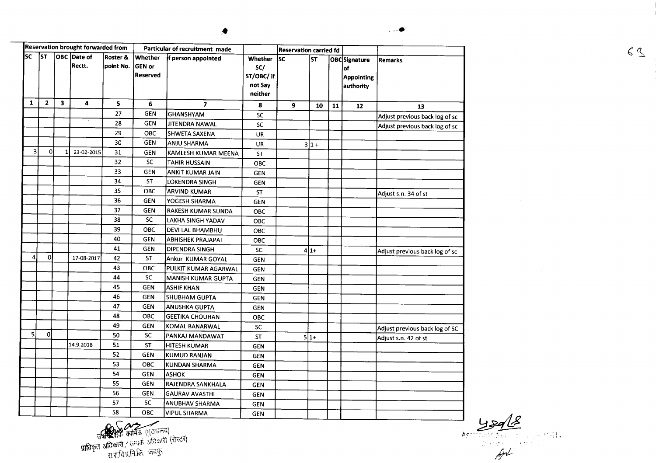| lsc                     | Reservation brought forwarded from<br><b>ST</b><br><b>OBC</b> Date of<br>Rectt. |                         | Roster &<br>point No. | <b>Whether</b><br>GEN or<br><b>Reserved</b> | Particular of recruitment made<br>f person appointed | <b>Whether</b><br>SC/<br>ST/OBC/ if<br>not Say<br>neither | <b>Reservation carried fd</b><br>lsc | <b>ST</b> |         | OBCSignature<br>of<br><b>Appointing</b><br>authority | Remarks |                                |
|-------------------------|---------------------------------------------------------------------------------|-------------------------|-----------------------|---------------------------------------------|------------------------------------------------------|-----------------------------------------------------------|--------------------------------------|-----------|---------|------------------------------------------------------|---------|--------------------------------|
| $\mathbf{1}$            | $\overline{2}$                                                                  | $\overline{\mathbf{3}}$ | 4                     | 5                                           | 6                                                    | $\overline{\phantom{a}}$                                  | 8                                    | 9         | 10      | 11                                                   | 12      | 13                             |
|                         |                                                                                 |                         |                       | 27                                          | <b>GEN</b>                                           | <b>GHANSHYAM</b>                                          | <b>SC</b>                            |           |         |                                                      |         | Adjust previous back log of sc |
|                         |                                                                                 |                         | $\cdot$               | 28                                          | <b>GEN</b>                                           | JITENDRA NAWAL                                            | SC                                   |           |         |                                                      |         | Adjust previous back log of sc |
|                         |                                                                                 |                         |                       | 29                                          | OBC                                                  | SHWETA SAXENA                                             | UR                                   |           |         |                                                      |         |                                |
|                         |                                                                                 |                         |                       | 30                                          | <b>GEN</b>                                           | <b>ANJU SHARMA</b>                                        | UR                                   |           | $3 1 +$ |                                                      |         |                                |
| $\overline{\mathbf{3}}$ | οl                                                                              |                         | 23-02-2015            | 31                                          | <b>GEN</b>                                           | KAMLESH KUMAR MEENA                                       | <b>ST</b>                            |           |         |                                                      |         |                                |
|                         |                                                                                 |                         |                       | 32                                          | <b>SC</b>                                            | <b>TAHIR HUSSAIN</b>                                      | OBC                                  |           |         |                                                      |         |                                |
|                         |                                                                                 |                         |                       | 33                                          | <b>GEN</b>                                           | <b>ANKIT KUMAR JAIN</b>                                   | <b>GEN</b>                           |           |         |                                                      |         |                                |
|                         |                                                                                 |                         |                       | 34                                          | <b>ST</b>                                            | <b>LOKENDRA SINGH</b>                                     | <b>GEN</b>                           |           |         |                                                      |         |                                |
|                         |                                                                                 |                         |                       | 35                                          | OBC                                                  | <b>ARVIND KUMAR</b>                                       | ST                                   |           |         |                                                      |         | Adjust s.n. 34 of st           |
|                         |                                                                                 |                         |                       | 36                                          | <b>GEN</b>                                           | YOGESH SHARMA                                             | <b>GEN</b>                           |           |         |                                                      |         |                                |
|                         |                                                                                 |                         |                       | 37                                          | GEN                                                  | <b>RAKESH KUMAR SUNDA</b>                                 | OBC                                  |           |         |                                                      |         |                                |
|                         |                                                                                 |                         |                       | 38                                          | SC                                                   | LAKHA SINGH YADAV                                         | OBC                                  |           |         |                                                      |         |                                |
|                         |                                                                                 |                         |                       | 39                                          | <b>OBC</b>                                           | DEVI LAL BHAMBHU                                          | OBC                                  |           |         |                                                      |         |                                |
|                         |                                                                                 |                         |                       | 40                                          | <b>GEN</b>                                           | <b>ABHISHEK PRAJAPAT</b>                                  | ОВС                                  |           |         |                                                      |         |                                |
|                         |                                                                                 |                         |                       | 41                                          | <b>GEN</b>                                           | DIPENDRA SINGH                                            | <b>SC</b>                            |           | $4 1+$  |                                                      |         | Adjust previous back log of sc |
| 4                       | $\mathbf{0}$                                                                    |                         | 17-08-2017            | 42                                          | <b>ST</b>                                            | Ankur KUMAR GOYAL                                         | <b>GEN</b>                           |           |         |                                                      |         |                                |
|                         |                                                                                 |                         |                       | 43                                          | OBC                                                  | PULKIT KUMAR AGARWAL                                      | <b>GEN</b>                           |           |         |                                                      |         |                                |
|                         |                                                                                 |                         |                       | 44                                          | SC                                                   | MANISH KUMAR GUPTA                                        | <b>GEN</b>                           |           |         |                                                      |         |                                |
|                         |                                                                                 |                         |                       | 45                                          | <b>GEN</b>                                           | <b>ASHIF KHAN</b>                                         | <b>GEN</b>                           |           |         |                                                      |         |                                |
|                         |                                                                                 |                         |                       | 46                                          | <b>GEN</b>                                           | SHUBHAM GUPTA                                             | <b>GEN</b>                           |           |         |                                                      |         |                                |
|                         |                                                                                 |                         |                       | 47                                          | GEN                                                  | <b>ANUSHKA GUPTA</b>                                      | <b>GEN</b>                           |           |         |                                                      |         |                                |
|                         |                                                                                 |                         |                       | 48                                          | OBC                                                  | <b>GEETIKA CHOUHAN</b>                                    | ОВС                                  |           |         |                                                      |         |                                |
|                         |                                                                                 |                         |                       | 49                                          | <b>GEN</b>                                           | KOMAL BANARWAL                                            | SC                                   |           |         |                                                      |         | Adjust previous back log of SC |
| 51                      | 이                                                                               |                         |                       | 50                                          | SC                                                   | PANKAJ MANDAWAT                                           | ST                                   |           | $5 1+$  |                                                      |         | Adjust s.n. 42 of st           |
|                         |                                                                                 |                         | 14.9.2018             | 51                                          | <b>ST</b>                                            | <b>HITESH KUMAR</b>                                       | <b>GEN</b>                           |           |         |                                                      |         |                                |
|                         |                                                                                 |                         |                       | 52                                          | <b>GEN</b>                                           | KUMUD RANJAN                                              | <b>GEN</b>                           |           |         |                                                      |         |                                |
|                         |                                                                                 |                         |                       | 53                                          | ОВС                                                  | <b>KUNDAN SHARMA</b>                                      | GEN                                  |           |         |                                                      |         |                                |
|                         |                                                                                 |                         |                       | 54                                          | <b>GEN</b>                                           | <b>ASHOK</b>                                              | <b>GEN</b>                           |           |         |                                                      |         |                                |
|                         |                                                                                 |                         |                       | 55                                          | GEN                                                  | RAJENDRA SANKHALA                                         | GEN                                  |           |         |                                                      |         |                                |
|                         |                                                                                 |                         |                       | 56                                          | <b>GEN</b>                                           | <b>GAURAV AVASTHI</b>                                     | <b>GEN</b>                           |           |         |                                                      |         |                                |
|                         |                                                                                 |                         |                       | 57                                          | <b>SC</b>                                            | <b>ANUBHAV SHARMA</b>                                     | GEN                                  |           |         |                                                      |         |                                |
|                         |                                                                                 |                         |                       | 58                                          | OBC                                                  | <b>VIPUL SHARMA</b>                                       | <b>GEN</b>                           |           |         |                                                      |         |                                |

OBC VIPUL SHARMA GEN

 $\frac{1}{\frac{43966}{101}}$ 

 $\sim 10^7$